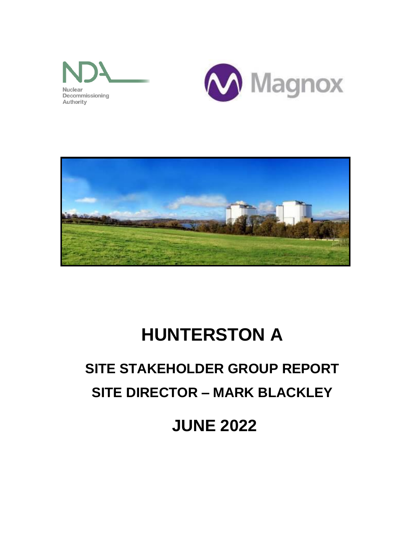





# **HUNTERSTON A**

## **SITE STAKEHOLDER GROUP REPORT SITE DIRECTOR – MARK BLACKLEY**

**JUNE 2022**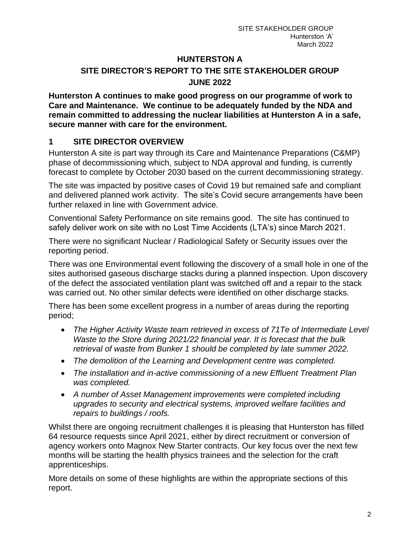### **HUNTERSTON A SITE DIRECTOR'S REPORT TO THE SITE STAKEHOLDER GROUP JUNE 2022**

**Hunterston A continues to make good progress on our programme of work to Care and Maintenance. We continue to be adequately funded by the NDA and remain committed to addressing the nuclear liabilities at Hunterston A in a safe, secure manner with care for the environment.**

## **1 SITE DIRECTOR OVERVIEW**

Hunterston A site is part way through its Care and Maintenance Preparations (C&MP) phase of decommissioning which, subject to NDA approval and funding, is currently forecast to complete by October 2030 based on the current decommissioning strategy.

The site was impacted by positive cases of Covid 19 but remained safe and compliant and delivered planned work activity. The site's Covid secure arrangements have been further relaxed in line with Government advice.

Conventional Safety Performance on site remains good. The site has continued to safely deliver work on site with no Lost Time Accidents (LTA's) since March 2021.

There were no significant Nuclear / Radiological Safety or Security issues over the reporting period.

There was one Environmental event following the discovery of a small hole in one of the sites authorised gaseous discharge stacks during a planned inspection. Upon discovery of the defect the associated ventilation plant was switched off and a repair to the stack was carried out. No other similar defects were identified on other discharge stacks.

There has been some excellent progress in a number of areas during the reporting period;

- *The Higher Activity Waste team retrieved in excess of 71Te of Intermediate Level Waste to the Store during 2021/22 financial year. It is forecast that the bulk retrieval of waste from Bunker 1 should be completed by late summer 2022.*
- *The demolition of the Learning and Development centre was completed.*
- *The installation and in-active commissioning of a new Effluent Treatment Plan was completed.*
- *A number of Asset Management improvements were completed including upgrades to security and electrical systems, improved welfare facilities and repairs to buildings / roofs.*

Whilst there are ongoing recruitment challenges it is pleasing that Hunterston has filled 64 resource requests since April 2021, either by direct recruitment or conversion of agency workers onto Magnox New Starter contracts. Our key focus over the next few months will be starting the health physics trainees and the selection for the craft apprenticeships.

More details on some of these highlights are within the appropriate sections of this report.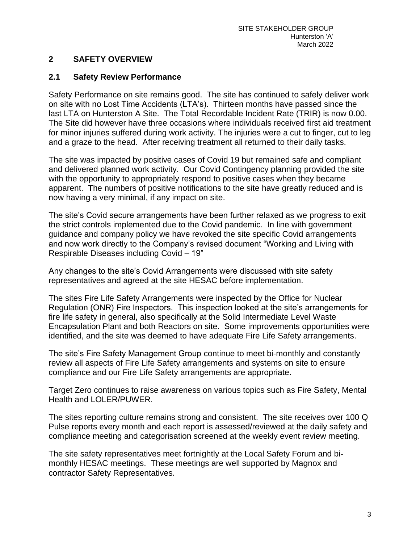#### **2 SAFETY OVERVIEW**

#### **2.1 Safety Review Performance**

Safety Performance on site remains good. The site has continued to safely deliver work on site with no Lost Time Accidents (LTA's). Thirteen months have passed since the last LTA on Hunterston A Site. The Total Recordable Incident Rate (TRIR) is now 0.00. The Site did however have three occasions where individuals received first aid treatment for minor injuries suffered during work activity. The injuries were a cut to finger, cut to leg and a graze to the head. After receiving treatment all returned to their daily tasks.

The site was impacted by positive cases of Covid 19 but remained safe and compliant and delivered planned work activity. Our Covid Contingency planning provided the site with the opportunity to appropriately respond to positive cases when they became apparent. The numbers of positive notifications to the site have greatly reduced and is now having a very minimal, if any impact on site.

The site's Covid secure arrangements have been further relaxed as we progress to exit the strict controls implemented due to the Covid pandemic. In line with government guidance and company policy we have revoked the site specific Covid arrangements and now work directly to the Company's revised document "Working and Living with Respirable Diseases including Covid – 19"

Any changes to the site's Covid Arrangements were discussed with site safety representatives and agreed at the site HESAC before implementation.

The sites Fire Life Safety Arrangements were inspected by the Office for Nuclear Regulation (ONR) Fire Inspectors. This inspection looked at the site's arrangements for fire life safety in general, also specifically at the Solid Intermediate Level Waste Encapsulation Plant and both Reactors on site. Some improvements opportunities were identified, and the site was deemed to have adequate Fire Life Safety arrangements.

The site's Fire Safety Management Group continue to meet bi-monthly and constantly review all aspects of Fire Life Safety arrangements and systems on site to ensure compliance and our Fire Life Safety arrangements are appropriate.

Target Zero continues to raise awareness on various topics such as Fire Safety, Mental Health and LOLER/PUWER.

The sites reporting culture remains strong and consistent. The site receives over 100 Q Pulse reports every month and each report is assessed/reviewed at the daily safety and compliance meeting and categorisation screened at the weekly event review meeting.

The site safety representatives meet fortnightly at the Local Safety Forum and bimonthly HESAC meetings. These meetings are well supported by Magnox and contractor Safety Representatives.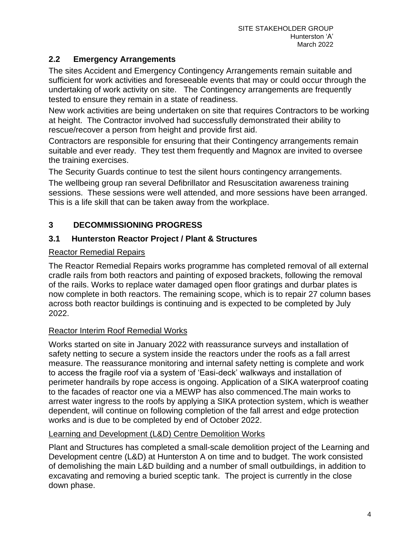### **2.2 Emergency Arrangements**

The sites Accident and Emergency Contingency Arrangements remain suitable and sufficient for work activities and foreseeable events that may or could occur through the undertaking of work activity on site. The Contingency arrangements are frequently tested to ensure they remain in a state of readiness.

New work activities are being undertaken on site that requires Contractors to be working at height. The Contractor involved had successfully demonstrated their ability to rescue/recover a person from height and provide first aid.

Contractors are responsible for ensuring that their Contingency arrangements remain suitable and ever ready. They test them frequently and Magnox are invited to oversee the training exercises.

The Security Guards continue to test the silent hours contingency arrangements.

The wellbeing group ran several Defibrillator and Resuscitation awareness training sessions. These sessions were well attended, and more sessions have been arranged. This is a life skill that can be taken away from the workplace.

## **3 DECOMMISSIONING PROGRESS**

### **3.1 Hunterston Reactor Project / Plant & Structures**

#### Reactor Remedial Repairs

The Reactor Remedial Repairs works programme has completed removal of all external cradle rails from both reactors and painting of exposed brackets, following the removal of the rails. Works to replace water damaged open floor gratings and durbar plates is now complete in both reactors. The remaining scope, which is to repair 27 column bases across both reactor buildings is continuing and is expected to be completed by July 2022.

### Reactor Interim Roof Remedial Works

Works started on site in January 2022 with reassurance surveys and installation of safety netting to secure a system inside the reactors under the roofs as a fall arrest measure. The reassurance monitoring and internal safety netting is complete and work to access the fragile roof via a system of 'Easi-deck' walkways and installation of perimeter handrails by rope access is ongoing. Application of a SIKA waterproof coating to the facades of reactor one via a MEWP has also commenced.The main works to arrest water ingress to the roofs by applying a SIKA protection system, which is weather dependent, will continue on following completion of the fall arrest and edge protection works and is due to be completed by end of October 2022.

#### Learning and Development (L&D) Centre Demolition Works

Plant and Structures has completed a small-scale demolition project of the Learning and Development centre (L&D) at Hunterston A on time and to budget. The work consisted of demolishing the main L&D building and a number of small outbuildings, in addition to excavating and removing a buried sceptic tank. The project is currently in the close down phase.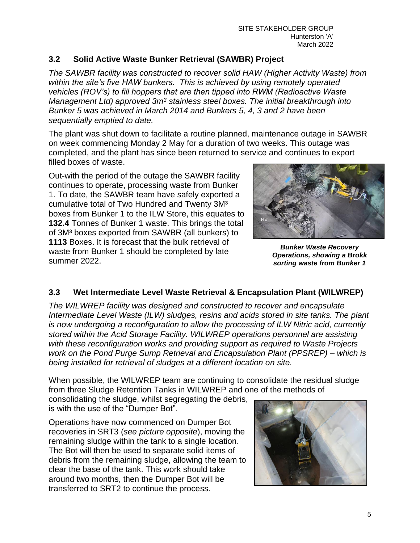### **3.2 Solid Active Waste Bunker Retrieval (SAWBR) Project**

*The SAWBR facility was constructed to recover solid HAW (Higher Activity Waste) from within the site's five HAW bunkers. This is achieved by using remotely operated vehicles (ROV's) to fill hoppers that are then tipped into RWM (Radioactive Waste Management Ltd) approved 3m<sup>3</sup> stainless steel boxes. The initial breakthrough into Bunker 5 was achieved in March 2014 and Bunkers 5, 4, 3 and 2 have been sequentially emptied to date.*

The plant was shut down to facilitate a routine planned, maintenance outage in SAWBR on week commencing Monday 2 May for a duration of two weeks. This outage was completed, and the plant has since been returned to service and continues to export filled boxes of waste.

Out-with the period of the outage the SAWBR facility continues to operate, processing waste from Bunker 1. To date, the SAWBR team have safely exported a cumulative total of Two Hundred and Twenty 3M³ boxes from Bunker 1 to the ILW Store, this equates to **132.4** Tonnes of Bunker 1 waste. This brings the total of 3M³ boxes exported from SAWBR (all bunkers) to **1113** Boxes. It is forecast that the bulk retrieval of waste from Bunker 1 should be completed by late summer 2022.



*Bunker Waste Recovery Operations, showing a Brokk sorting waste from Bunker 1*

## **3.3 Wet Intermediate Level Waste Retrieval & Encapsulation Plant (WILWREP)**

*The WILWREP facility was designed and constructed to recover and encapsulate Intermediate Level Waste (ILW) sludges, resins and acids stored in site tanks. The plant is now undergoing a reconfiguration to allow the processing of ILW Nitric acid, currently stored within the Acid Storage Facility. WILWREP operations personnel are assisting with these reconfiguration works and providing support as required to Waste Projects work on the Pond Purge Sump Retrieval and Encapsulation Plant (PPSREP) – which is being installed for retrieval of sludges at a different location on site.* 

When possible, the WILWREP team are continuing to consolidate the residual sludge from three Sludge Retention Tanks in WILWREP and one of the methods of

consolidating the sludge, whilst segregating the debris, is with the use of the "Dumper Bot".

Operations have now commenced on Dumper Bot recoveries in SRT3 (*see picture opposite*), moving the remaining sludge within the tank to a single location. The Bot will then be used to separate solid items of debris from the remaining sludge, allowing the team to clear the base of the tank. This work should take around two months, then the Dumper Bot will be transferred to SRT2 to continue the process.

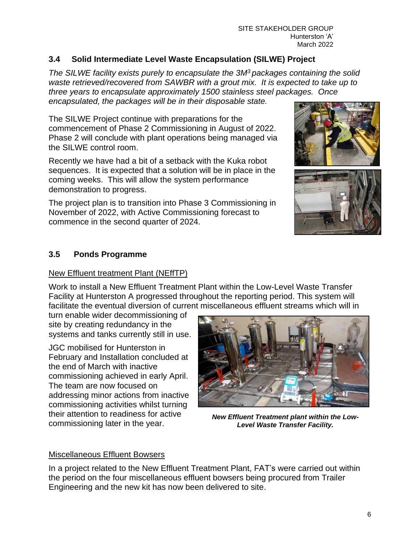#### SITE STAKEHOLDER GROUP Hunterston 'A' March 2022

## **3.4 Solid Intermediate Level Waste Encapsulation (SILWE) Project**

*The SILWE facility exists purely to encapsulate the 3M<sup>3</sup> packages containing the solid waste retrieved/recovered from SAWBR with a grout mix. It is expected to take up to three years to encapsulate approximately 1500 stainless steel packages. Once encapsulated, the packages will be in their disposable state.* 

The SILWE Project continue with preparations for the commencement of Phase 2 Commissioning in August of 2022. Phase 2 will conclude with plant operations being managed via the SILWE control room.

Recently we have had a bit of a setback with the Kuka robot sequences. It is expected that a solution will be in place in the coming weeks. This will allow the system performance demonstration to progress.

The project plan is to transition into Phase 3 Commissioning in November of 2022, with Active Commissioning forecast to commence in the second quarter of 2024.





### **3.5 Ponds Programme**

#### New Effluent treatment Plant (NEffTP)

Work to install a New Effluent Treatment Plant within the Low-Level Waste Transfer Facility at Hunterston A progressed throughout the reporting period. This system will facilitate the eventual diversion of current miscellaneous effluent streams which will in

turn enable wider decommissioning of site by creating redundancy in the systems and tanks currently still in use.

JGC mobilised for Hunterston in February and Installation concluded at the end of March with inactive commissioning achieved in early April. The team are now focused on addressing minor actions from inactive commissioning activities whilst turning their attention to readiness for active commissioning later in the year.



*New Effluent Treatment plant within the Low-Level Waste Transfer Facility.*

### Miscellaneous Effluent Bowsers

In a project related to the New Effluent Treatment Plant, FAT's were carried out within the period on the four miscellaneous effluent bowsers being procured from Trailer Engineering and the new kit has now been delivered to site.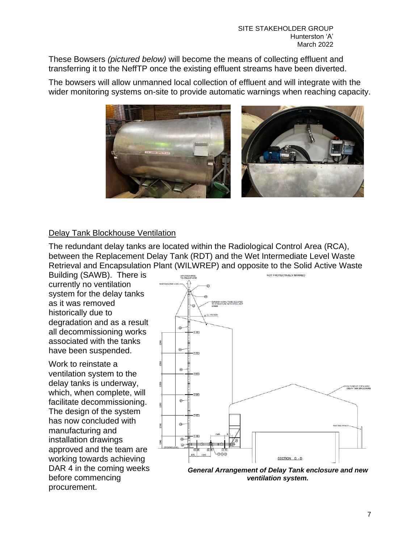These Bowsers *(pictured below)* will become the means of collecting effluent and transferring it to the NeffTP once the existing effluent streams have been diverted.

The bowsers will allow unmanned local collection of effluent and will integrate with the wider monitoring systems on-site to provide automatic warnings when reaching capacity.



#### Delay Tank Blockhouse Ventilation

The redundant delay tanks are located within the Radiological Control Area (RCA), between the Replacement Delay Tank (RDT) and the Wet Intermediate Level Waste Retrieval and Encapsulation Plant (WILWREP) and opposite to the Solid Active Waste

Building (SAWB). There is currently no ventilation system for the delay tanks as it was removed historically due to degradation and as a result all decommissioning works associated with the tanks have been suspended.

Work to reinstate a ventilation system to the delay tanks is underway, which, when complete, will facilitate decommissioning. The design of the system has now concluded with manufacturing and installation drawings approved and the team are working towards achieving DAR 4 in the coming weeks before commencing procurement.



*General Arrangement of Delay Tank enclosure and new ventilation system.*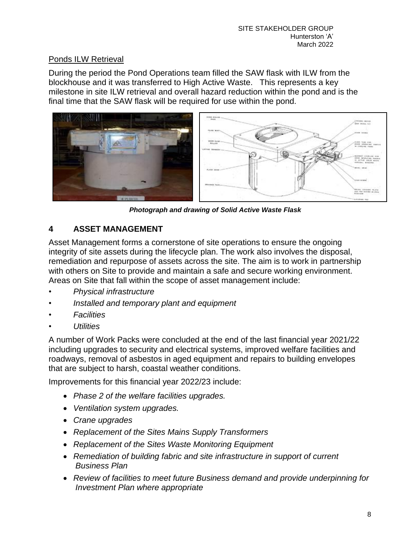## Ponds ILW Retrieval

During the period the Pond Operations team filled the SAW flask with ILW from the blockhouse and it was transferred to High Active Waste. This represents a key milestone in site ILW retrieval and overall hazard reduction within the pond and is the final time that the SAW flask will be required for use within the pond.



*Photograph and drawing of Solid Active Waste Flask*

## **4 ASSET MANAGEMENT**

Asset Management forms a cornerstone of site operations to ensure the ongoing integrity of site assets during the lifecycle plan. The work also involves the disposal, remediation and repurpose of assets across the site. The aim is to work in partnership with others on Site to provide and maintain a safe and secure working environment. Areas on Site that fall within the scope of asset management include:

- *• Physical infrastructure*
- *• Installed and temporary plant and equipment*
- *• Facilities*
- *• Utilities*

A number of Work Packs were concluded at the end of the last financial year 2021/22 including upgrades to security and electrical systems, improved welfare facilities and roadways, removal of asbestos in aged equipment and repairs to building envelopes that are subject to harsh, coastal weather conditions.

Improvements for this financial year 2022/23 include:

- *Phase 2 of the welfare facilities upgrades.*
- *Ventilation system upgrades.*
- *Crane upgrades*
- *Replacement of the Sites Mains Supply Transformers*
- *Replacement of the Sites Waste Monitoring Equipment*
- *Remediation of building fabric and site infrastructure in support of current Business Plan*
- *Review of facilities to meet future Business demand and provide underpinning for Investment Plan where appropriate*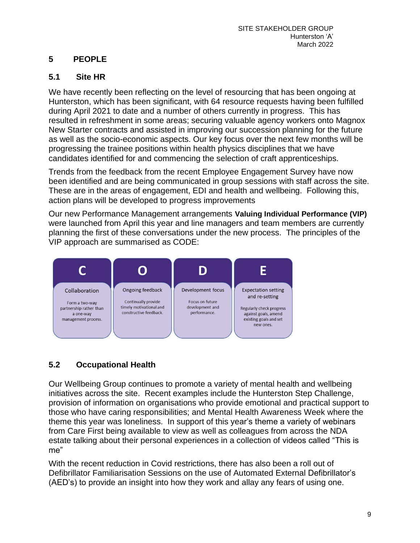## **5 PEOPLE**

### **5.1 Site HR**

We have recently been reflecting on the level of resourcing that has been ongoing at Hunterston, which has been significant, with 64 resource requests having been fulfilled during April 2021 to date and a number of others currently in progress. This has resulted in refreshment in some areas; securing valuable agency workers onto Magnox New Starter contracts and assisted in improving our succession planning for the future as well as the socio-economic aspects. Our key focus over the next few months will be progressing the trainee positions within health physics disciplines that we have candidates identified for and commencing the selection of craft apprenticeships.

Trends from the feedback from the recent Employee Engagement Survey have now been identified and are being communicated in group sessions with staff across the site. These are in the areas of engagement, EDI and health and wellbeing. Following this, action plans will be developed to progress improvements

Our new Performance Management arrangements **Valuing Individual Performance (VIP)** were launched from April this year and line managers and team members are currently planning the first of these conversations under the new process. The principles of the VIP approach are summarised as CODE:



## **5.2 Occupational Health**

Our Wellbeing Group continues to promote a variety of mental health and wellbeing initiatives across the site. Recent examples include the Hunterston Step Challenge, provision of information on organisations who provide emotional and practical support to those who have caring responsibilities; and Mental Health Awareness Week where the theme this year was loneliness. In support of this year's theme a variety of webinars from Care First being available to view as well as colleagues from across the NDA estate talking about their personal experiences in a collection of videos called "This is me"

With the recent reduction in Covid restrictions, there has also been a roll out of Defibrillator Familiarisation Sessions on the use of Automated External Defibrillator's (AED's) to provide an insight into how they work and allay any fears of using one.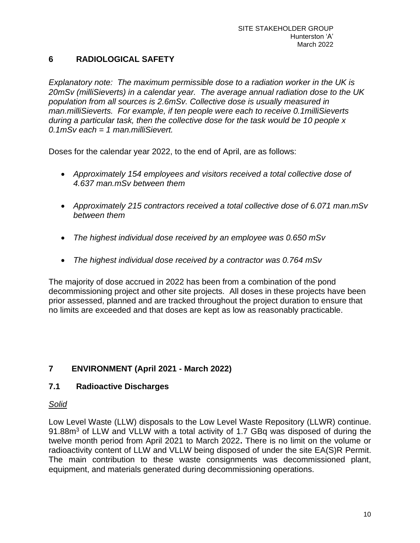### **6 RADIOLOGICAL SAFETY**

*Explanatory note: The maximum permissible dose to a radiation worker in the UK is 20mSv (milliSieverts) in a calendar year. The average annual radiation dose to the UK population from all sources is 2.6mSv. Collective dose is usually measured in man.milliSieverts. For example, if ten people were each to receive 0.1milliSieverts during a particular task, then the collective dose for the task would be 10 people x 0.1mSv each = 1 man.milliSievert.*

Doses for the calendar year 2022, to the end of April, are as follows:

- *Approximately 154 employees and visitors received a total collective dose of 4.637 man.mSv between them*
- *Approximately 215 contractors received a total collective dose of 6.071 man.mSv between them*
- *The highest individual dose received by an employee was 0.650 mSv*
- *The highest individual dose received by a contractor was 0.764 mSv*

The majority of dose accrued in 2022 has been from a combination of the pond decommissioning project and other site projects. All doses in these projects have been prior assessed, planned and are tracked throughout the project duration to ensure that no limits are exceeded and that doses are kept as low as reasonably practicable.

### **7 ENVIRONMENT (April 2021 - March 2022)**

#### **7.1 Radioactive Discharges**

#### *Solid*

Low Level Waste (LLW) disposals to the Low Level Waste Repository (LLWR) continue. 91.88m<sup>3</sup> of LLW and VLLW with a total activity of 1.7 GBq was disposed of during the twelve month period from April 2021 to March 2022**.** There is no limit on the volume or radioactivity content of LLW and VLLW being disposed of under the site EA(S)R Permit. The main contribution to these waste consignments was decommissioned plant, equipment, and materials generated during decommissioning operations.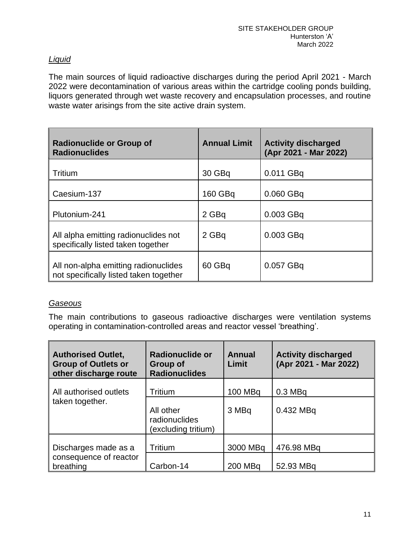### *Liquid*

The main sources of liquid radioactive discharges during the period April 2021 - March 2022 were decontamination of various areas within the cartridge cooling ponds building, liquors generated through wet waste recovery and encapsulation processes, and routine waste water arisings from the site active drain system.

| <b>Radionuclide or Group of</b><br><b>Radionuclides</b>                        | <b>Annual Limit</b> | <b>Activity discharged</b><br>(Apr 2021 - Mar 2022) |
|--------------------------------------------------------------------------------|---------------------|-----------------------------------------------------|
| Tritium                                                                        | 30 GBq              | 0.011 GBq                                           |
| Caesium-137                                                                    | 160 GBq             | 0.060 GBq                                           |
| Plutonium-241                                                                  | 2 GBq               | 0.003 GBq                                           |
| All alpha emitting radionuclides not<br>specifically listed taken together     | 2 GBq               | 0.003 GBq                                           |
| All non-alpha emitting radionuclides<br>not specifically listed taken together | 60 GBq              | 0.057 GBq                                           |

#### *Gaseous*

The main contributions to gaseous radioactive discharges were ventilation systems operating in contamination-controlled areas and reactor vessel 'breathing'.

| <b>Authorised Outlet,</b><br><b>Group of Outlets or</b><br>other discharge route | Radionuclide or<br>Group of<br><b>Radionuclides</b> | <b>Annual</b><br>Limit | <b>Activity discharged</b><br>(Apr 2021 - Mar 2022) |
|----------------------------------------------------------------------------------|-----------------------------------------------------|------------------------|-----------------------------------------------------|
| All authorised outlets<br>taken together.                                        | Tritium                                             | 100 MBq                | $0.3$ MBq                                           |
|                                                                                  | All other<br>radionuclides<br>(excluding tritium)   | 3 MBq                  | 0.432 MBq                                           |
| Discharges made as a<br>consequence of reactor<br>breathing                      | Tritium                                             | 3000 MBq               | 476.98 MBq                                          |
|                                                                                  | Carbon-14                                           | 200 MBq                | 52.93 MBq                                           |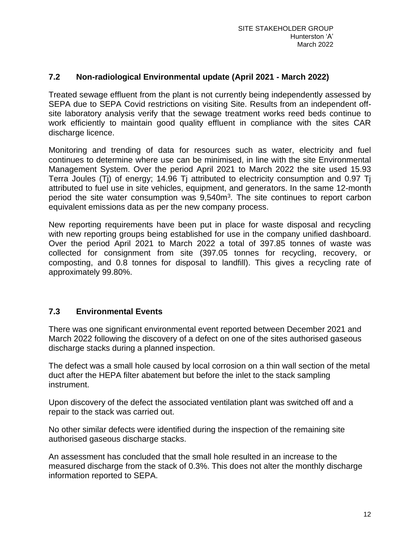#### **7.2 Non-radiological Environmental update (April 2021 - March 2022)**

Treated sewage effluent from the plant is not currently being independently assessed by SEPA due to SEPA Covid restrictions on visiting Site. Results from an independent offsite laboratory analysis verify that the sewage treatment works reed beds continue to work efficiently to maintain good quality effluent in compliance with the sites CAR discharge licence.

Monitoring and trending of data for resources such as water, electricity and fuel continues to determine where use can be minimised, in line with the site Environmental Management System. Over the period April 2021 to March 2022 the site used 15.93 Terra Joules (Tj) of energy; 14.96 Tj attributed to electricity consumption and 0.97 Tj attributed to fuel use in site vehicles, equipment, and generators. In the same 12-month period the site water consumption was 9,540m<sup>3</sup>. The site continues to report carbon equivalent emissions data as per the new company process.

New reporting requirements have been put in place for waste disposal and recycling with new reporting groups being established for use in the company unified dashboard. Over the period April 2021 to March 2022 a total of 397.85 tonnes of waste was collected for consignment from site (397.05 tonnes for recycling, recovery, or composting, and 0.8 tonnes for disposal to landfill). This gives a recycling rate of approximately 99.80%.

#### **7.3 Environmental Events**

There was one significant environmental event reported between December 2021 and March 2022 following the discovery of a defect on one of the sites authorised gaseous discharge stacks during a planned inspection.

The defect was a small hole caused by local corrosion on a thin wall section of the metal duct after the HEPA filter abatement but before the inlet to the stack sampling instrument.

Upon discovery of the defect the associated ventilation plant was switched off and a repair to the stack was carried out.

No other similar defects were identified during the inspection of the remaining site authorised gaseous discharge stacks.

An assessment has concluded that the small hole resulted in an increase to the measured discharge from the stack of 0.3%. This does not alter the monthly discharge information reported to SEPA.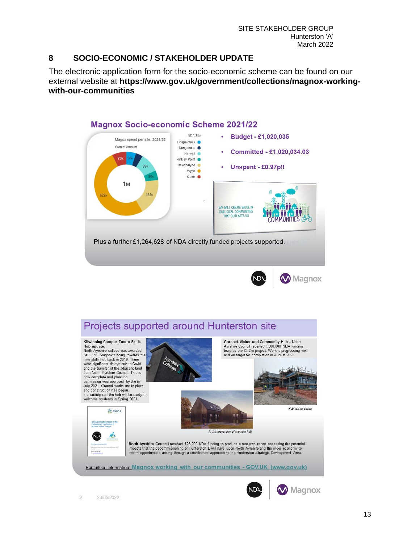#### **8 SOCIO-ECONOMIC / STAKEHOLDER UPDATE**

The electronic application form for the socio-economic scheme can be found on our external website at **[https://www.gov.uk/government/collections/magnox-working](https://gbr01.safelinks.protection.outlook.com/?url=https%3A%2F%2Fwww.gov.uk%2Fgovernment%2Fcollections%2Fmagnox-working-with-our-communities&data=02%7C01%7Csean.w.marshall%40magnoxsites.com%7C3273fb0c2b7a43f00d6108d849af8bca%7C8af7874e5d8a468585d993475ca367ef%7C0%7C0%7C637340365590371282&sdata=aFYpXwxzqtsWyAynh%2FD7RENjJDT22IBZ7BmBPRKq7Cw%3D&reserved=0)[with-our-communities](https://gbr01.safelinks.protection.outlook.com/?url=https%3A%2F%2Fwww.gov.uk%2Fgovernment%2Fcollections%2Fmagnox-working-with-our-communities&data=02%7C01%7Csean.w.marshall%40magnoxsites.com%7C3273fb0c2b7a43f00d6108d849af8bca%7C8af7874e5d8a468585d993475ca367ef%7C0%7C0%7C637340365590371282&sdata=aFYpXwxzqtsWyAynh%2FD7RENjJDT22IBZ7BmBPRKq7Cw%3D&reserved=0)**







M Magnox